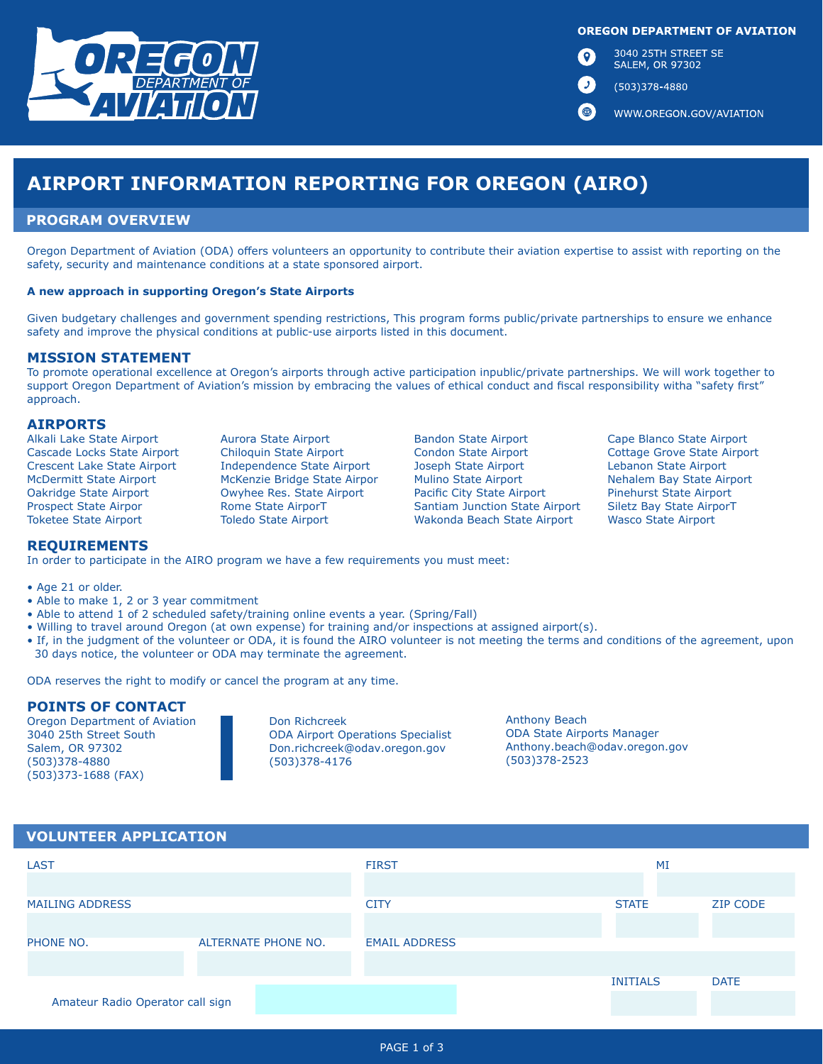

**OREGON DEPARTMENT OF AVIATION** 

3040 25TH STREET SE  $\boldsymbol{\Theta}$ **SALEM, OR 97302** 

(503)378-4880

 $\mathcal{L}$ 

 $\bigoplus$ 

WWW.OREGON.GOV/AVIATION

# **AIRPORT INFORMATION REPORTING FOR OREGON (AIRO)**

## **PROGRAM OVERVIEW**

Oregon Department of Aviation (ODA) offers volunteers an opportunity to contribute their aviation expertise to assist with reporting on the safety, security and maintenance conditions at a state sponsored airport.

#### **A new approach in supporting Oregon's State Airports**

Given budgetary challenges and government spending restrictions, This program forms public/private partnerships to ensure we enhance safety and improve the physical conditions at public-use airports listed in this document.

#### **MISSION STATEMENT**

To promote operational excellence at Oregon's airports through active participation inpublic/private partnerships. We will work together to support Oregon Department of Aviation's mission by embracing the values of ethical conduct and fiscal responsibility witha "safety first" approach.

#### **AIRPORTS**

Alkali Lake State Airport Aurora State Airport Bandon State Airport Cape Blanco State Airport Cascade Locks State Airport Chiloquin State Airport Condon State Airport Cottage Grove State Airport Crescent Lake State Airport Crescent Lake State Airport Crescent Lake State Airport Crescent Lake State Airport Independence State Airport Joseph State Airport Lebanon State Airport McDermitt State Airport McKenzie Bridge State Airpor Mulino State Airport Nehalem Bay State Airport Oakridge State Airport Owyhee Res. State Airport Pacific City State Airport Pinehurst State Airport Prospect State Airpor **Rome State AirporT** Santiam Junction State Airport Siletz Bay State AirporT

Toketee State Airport Toledo State Airport Wakonda Beach State Airport Wasco State Airport

#### **REQUIREMENTS**

In order to participate in the AIRO program we have a few requirements you must meet:

- Age 21 or older.
- Able to make 1, 2 or 3 year commitment
- Able to attend 1 of 2 scheduled safety/training online events a year. (Spring/Fall)
- Willing to travel around Oregon (at own expense) for training and/or inspections at assigned airport(s).
- If, in the judgment of the volunteer or ODA, it is found the AIRO volunteer is not meeting the terms and conditions of the agreement, upon 30 days notice, the volunteer or ODA may terminate the agreement.

ODA reserves the right to modify or cancel the program at any time.

#### **POINTS OF CONTACT**

Oregon Department of Aviation 3040 25th Street South Salem, OR 97302 (503)378-4880 (503)373-1688 (FAX)

Don Richcreek ODA Airport Operations Specialist Don.richcreek@odav.oregon.gov (503)378-4176

Anthony Beach ODA State Airports Manager Anthony.beach@odav.oregon.gov (503)378-2523

## **VOLUNTEER APPLICATION**

| <b>FIRST</b>        | MI                                                      |
|---------------------|---------------------------------------------------------|
| <b>CITY</b>         | <b>ZIP CODE</b>                                         |
|                     |                                                         |
|                     | <b>DATE</b>                                             |
| ALTERNATE PHONE NO. | <b>STATE</b><br><b>EMAIL ADDRESS</b><br><b>INITIALS</b> |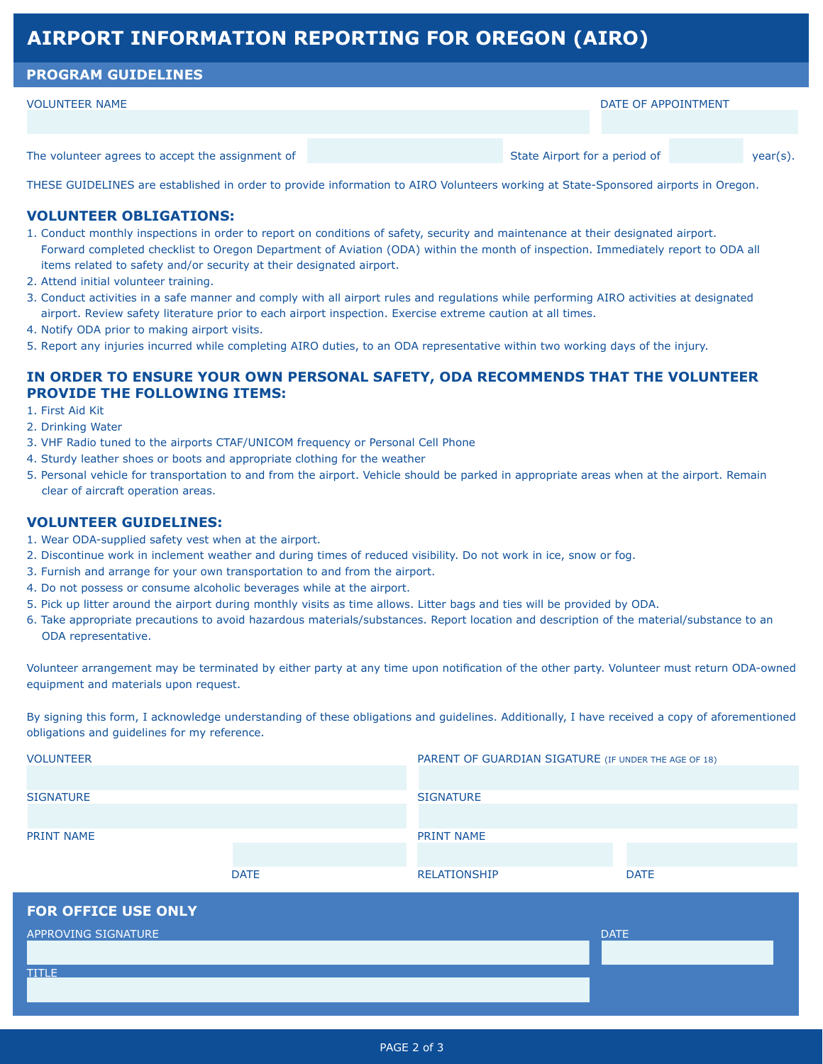# **AIRPORT INFORMATION REPORTING FOR OREGON (AIRO)**

# **PROGRAM GUIDELINES**

| <b>VOLUNTEER NAME</b>                            |                               | DATE OF APPOINTMENT |  |  |
|--------------------------------------------------|-------------------------------|---------------------|--|--|
| The volunteer agrees to accept the assignment of | State Airport for a period of | year(s).            |  |  |

THESE GUIDELINES are established in order to provide information to AIRO Volunteers working at State-Sponsored airports in Oregon.

### **VOLUNTEER OBLIGATIONS:**

- 1. Conduct monthly inspections in order to report on conditions of safety, security and maintenance at their designated airport. Forward completed checklist to Oregon Department of Aviation (ODA) within the month of inspection. Immediately report to ODA all items related to safety and/or security at their designated airport.
- 2. Attend initial volunteer training.
- 3. Conduct activities in a safe manner and comply with all airport rules and regulations while performing AIRO activities at designated airport. Review safety literature prior to each airport inspection. Exercise extreme caution at all times.
- 4. Notify ODA prior to making airport visits.
- 5. Report any injuries incurred while completing AIRO duties, to an ODA representative within two working days of the injury.

# **IN ORDER TO ENSURE YOUR OWN PERSONAL SAFETY, ODA RECOMMENDS THAT THE VOLUNTEER PROVIDE THE FOLLOWING ITEMS:**

- 1. First Aid Kit
- 2. Drinking Water
- 3. VHF Radio tuned to the airports CTAF/UNICOM frequency or Personal Cell Phone
- 4. Sturdy leather shoes or boots and appropriate clothing for the weather
- 5. Personal vehicle for transportation to and from the airport. Vehicle should be parked in appropriate areas when at the airport. Remain clear of aircraft operation areas.

#### **VOLUNTEER GUIDELINES:**

- 1. Wear ODA-supplied safety vest when at the airport.
- 2. Discontinue work in inclement weather and during times of reduced visibility. Do not work in ice, snow or fog.
- 3. Furnish and arrange for your own transportation to and from the airport.
- 4. Do not possess or consume alcoholic beverages while at the airport.
- 5. Pick up litter around the airport during monthly visits as time allows. Litter bags and ties will be provided by ODA.
- 6. Take appropriate precautions to avoid hazardous materials/substances. Report location and description of the material/substance to an ODA representative.

Volunteer arrangement may be terminated by either party at any time upon notification of the other party. Volunteer must return ODA-owned equipment and materials upon request.

By signing this form, I acknowledge understanding of these obligations and guidelines. Additionally, I have received a copy of aforementioned obligations and guidelines for my reference.

| <b>VOLUNTEER</b>  |             |                     | PARENT OF GUARDIAN SIGATURE (IF UNDER THE AGE OF 18) |  |  |
|-------------------|-------------|---------------------|------------------------------------------------------|--|--|
|                   |             |                     |                                                      |  |  |
| <b>SIGNATURE</b>  |             | <b>SIGNATURE</b>    |                                                      |  |  |
|                   |             |                     |                                                      |  |  |
| <b>PRINT NAME</b> |             | <b>PRINT NAME</b>   |                                                      |  |  |
|                   |             |                     |                                                      |  |  |
|                   | <b>DATE</b> | <b>RELATIONSHIP</b> | <b>DATE</b>                                          |  |  |
|                   |             |                     |                                                      |  |  |

| <b>FOR OFFICE USE ONLY</b> |             |
|----------------------------|-------------|
| APPROVING SIGNATURE        | <b>DATE</b> |
|                            |             |
| TITI F                     |             |
|                            |             |